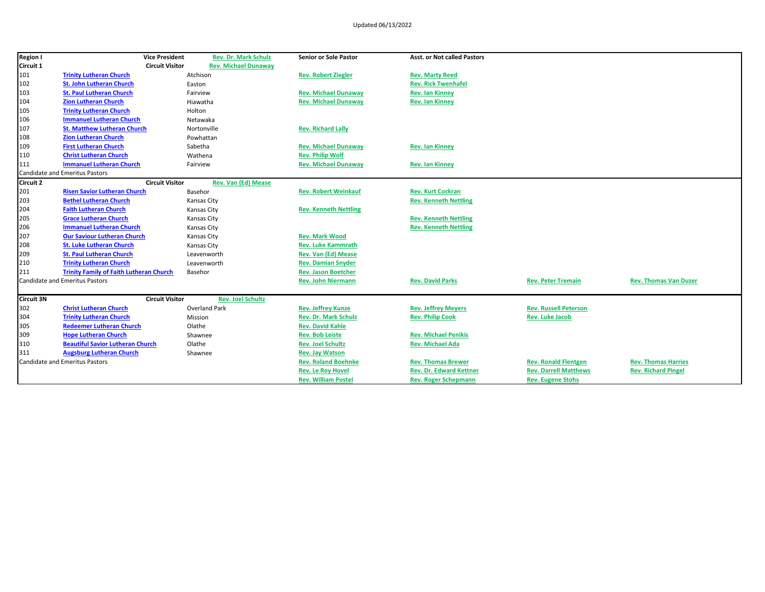| <b>Region I</b>  | <b>Vice President</b>                          | <b>Rev. Dr. Mark Schulz</b> | <b>Senior or Sole Pastor</b> | <b>Asst. or Not called Pastors</b> |                              |                              |
|------------------|------------------------------------------------|-----------------------------|------------------------------|------------------------------------|------------------------------|------------------------------|
| Circuit 1        | <b>Circuit Visitor</b>                         | <b>Rev. Michael Dunaway</b> |                              |                                    |                              |                              |
| 101              | <b>Trinity Lutheran Church</b>                 | Atchison                    | <b>Rev. Robert Ziegler</b>   | <b>Rev. Marty Reed</b>             |                              |                              |
| 102              | <b>St. John Lutheran Church</b>                | Easton                      |                              | <b>Rev. Rick Twenhafel</b>         |                              |                              |
| 103              | <b>St. Paul Lutheran Church</b>                | Fairview                    | <b>Rev. Michael Dunaway</b>  | <b>Rev. Ian Kinney</b>             |                              |                              |
| 104              | <b>Zion Lutheran Church</b>                    | Hiawatha                    | <b>Rev. Michael Dunaway</b>  | <b>Rev. Ian Kinney</b>             |                              |                              |
| 105              | <b>Trinity Lutheran Church</b>                 | Holton                      |                              |                                    |                              |                              |
| 106              | <b>Immanuel Lutheran Church</b>                | Netawaka                    |                              |                                    |                              |                              |
| 107              | <b>St. Matthew Lutheran Church</b>             | Nortonville                 | <b>Rev. Richard Lally</b>    |                                    |                              |                              |
| 108              | <b>Zion Lutheran Church</b>                    | Powhattan                   |                              |                                    |                              |                              |
| 109              | <b>First Lutheran Church</b>                   | Sabetha                     | <b>Rev. Michael Dunaway</b>  | <b>Rev. Ian Kinney</b>             |                              |                              |
| 110              | <b>Christ Lutheran Church</b>                  | Wathena                     | <b>Rev. Philip Wolf</b>      |                                    |                              |                              |
| 111              | <b>Immanuel Lutheran Church</b>                | Fairview                    | <b>Rev. Michael Dunaway</b>  | <b>Rev. Ian Kinney</b>             |                              |                              |
|                  | <b>Candidate and Emeritus Pastors</b>          |                             |                              |                                    |                              |                              |
| <b>Circuit 2</b> | <b>Circuit Visitor</b>                         | <b>Rev. Van (Ed) Mease</b>  |                              |                                    |                              |                              |
| 201              | <b>Risen Savior Lutheran Church</b>            | Basehor                     | <b>Rev. Robert Weinkauf</b>  | <b>Rev. Kurt Cockran</b>           |                              |                              |
| 203              | <b>Bethel Lutheran Church</b>                  | <b>Kansas City</b>          |                              | <b>Rev. Kenneth Nettling</b>       |                              |                              |
| 204              | <b>Faith Lutheran Church</b>                   | <b>Kansas City</b>          | <b>Rev. Kenneth Nettling</b> |                                    |                              |                              |
| 205              | <b>Grace Lutheran Church</b>                   | Kansas City                 |                              | <b>Rev. Kenneth Nettling</b>       |                              |                              |
| 206              | <b>Immanuel Lutheran Church</b>                | <b>Kansas City</b>          |                              | <b>Rev. Kenneth Nettling</b>       |                              |                              |
| 207              | <b>Our Saviour Lutheran Church</b>             | Kansas City                 | <b>Rev. Mark Wood</b>        |                                    |                              |                              |
| 208              | <b>St. Luke Lutheran Church</b>                | Kansas City                 | <b>Rev. Luke Kammrath</b>    |                                    |                              |                              |
| 209              | <b>St. Paul Lutheran Church</b>                | Leavenworth                 | Rev. Van (Ed) Mease          |                                    |                              |                              |
| 210              | <b>Trinity Lutheran Church</b>                 | Leavenworth                 | <b>Rev. Damian Snyder</b>    |                                    |                              |                              |
| 211              | <b>Trinity Family of Faith Lutheran Church</b> | Basehor                     | <b>Rev. Jason Boetcher</b>   |                                    |                              |                              |
|                  | <b>Candidate and Emeritus Pastors</b>          |                             | <b>Rev. John Niermann</b>    | <b>Rev. David Parks</b>            | <b>Rev. Peter Tremain</b>    | <b>Rev. Thomas Van Duzer</b> |
| Circuit 3N       | <b>Circuit Visitor</b>                         | <b>Rev. Joel Schultz</b>    |                              |                                    |                              |                              |
| 302              | <b>Christ Lutheran Church</b>                  | Overland Park               | <b>Rev. Jeffrey Kunze</b>    | <b>Rev. Jeffrey Meyers</b>         | <b>Rev. Russell Peterson</b> |                              |
| 304              | <b>Trinity Lutheran Church</b>                 | Mission                     | <b>Rev. Dr. Mark Schulz</b>  | <b>Rev. Philip Cook</b>            | <b>Rev. Luke Jacob</b>       |                              |
| 305              | <b>Redeemer Lutheran Church</b>                | Olathe                      | <b>Rev. David Kahle</b>      |                                    |                              |                              |
| 309              | <b>Hope Lutheran Church</b>                    | Shawnee                     | <b>Rev. Bob Leiste</b>       | <b>Rev. Michael Penikis</b>        |                              |                              |
| 310              | <b>Beautiful Savior Lutheran Church</b>        | Olathe                      | <b>Rev. Joel Schultz</b>     | <b>Rev. Michael Ada</b>            |                              |                              |
| 311              | <b>Augsburg Lutheran Church</b>                | Shawnee                     | <b>Rev. Jay Watson</b>       |                                    |                              |                              |
|                  | <b>Candidate and Emeritus Pastors</b>          |                             | <b>Rev. Roland Boehnke</b>   | <b>Rev. Thomas Brewer</b>          | <b>Rev. Ronald Flentgen</b>  | <b>Rev. Thomas Harries</b>   |
|                  |                                                |                             | <b>Rev. Le Roy Hovel</b>     | <b>Rev. Dr. Edward Kettner</b>     | <b>Rev. Darrell Matthews</b> | <b>Rev. Richard Pingel</b>   |
|                  |                                                |                             | <b>Rev. William Postel</b>   | <b>Rev. Roger Schepmann</b>        | <b>Rev. Eugene Stohs</b>     |                              |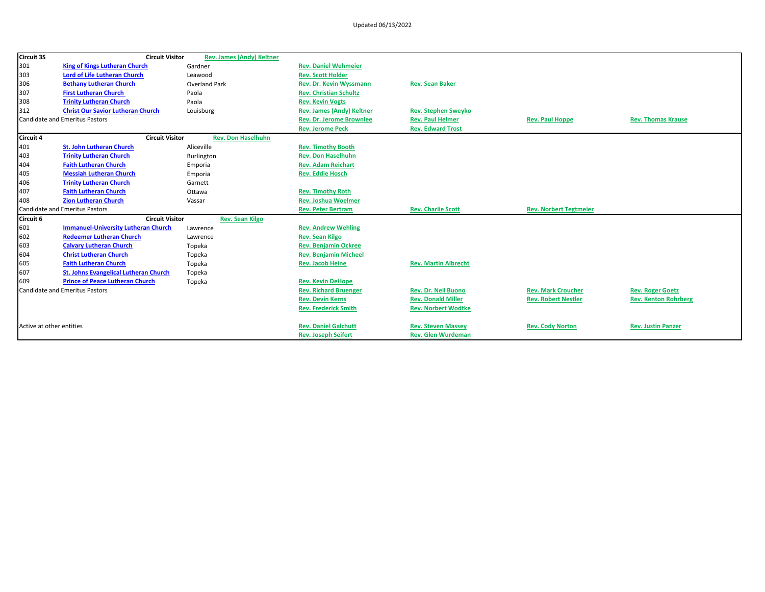| <b>Circuit 3S</b>        | <b>Circuit Visitor</b>                       | <b>Rev. James (Andy) Keltner</b> |                                 |                             |                               |                             |
|--------------------------|----------------------------------------------|----------------------------------|---------------------------------|-----------------------------|-------------------------------|-----------------------------|
| 301                      | <b>King of Kings Lutheran Church</b>         | Gardner                          | <b>Rev. Daniel Wehmeier</b>     |                             |                               |                             |
| 303                      | <b>Lord of Life Lutheran Church</b>          | Leawood                          | <b>Rev. Scott Holder</b>        |                             |                               |                             |
| 306                      | <b>Bethany Lutheran Church</b>               | <b>Overland Park</b>             | <b>Rev. Dr. Kevin Wyssmann</b>  | <b>Rev. Sean Baker</b>      |                               |                             |
| 307                      | <b>First Lutheran Church</b>                 | Paola                            | <b>Rev. Christian Schultz</b>   |                             |                               |                             |
| 308                      | <b>Trinity Lutheran Church</b>               | Paola                            | <b>Rev. Kevin Vogts</b>         |                             |                               |                             |
| 312                      | <b>Christ Our Savior Lutheran Church</b>     | Louisburg                        | Rev. James (Andy) Keltner       | <b>Rev. Stephen Sweyko</b>  |                               |                             |
|                          | <b>Candidate and Emeritus Pastors</b>        |                                  | <b>Rev. Dr. Jerome Brownlee</b> | <b>Rev. Paul Helmer</b>     | <b>Rev. Paul Hoppe</b>        | <b>Rev. Thomas Krause</b>   |
|                          |                                              |                                  | <b>Rev. Jerome Peck</b>         | <b>Rev. Edward Trost</b>    |                               |                             |
| <b>Circuit 4</b>         | <b>Circuit Visitor</b>                       | <b>Rev. Don Haselhuhn</b>        |                                 |                             |                               |                             |
| 401                      | <b>St. John Lutheran Church</b>              | Aliceville                       | <b>Rev. Timothy Booth</b>       |                             |                               |                             |
| 403                      | <b>Trinity Lutheran Church</b>               | Burlington                       | <b>Rev. Don Haselhuhn</b>       |                             |                               |                             |
| 404                      | <b>Faith Lutheran Church</b>                 | Emporia                          | <b>Rev. Adam Reichart</b>       |                             |                               |                             |
| 405                      | <b>Messiah Lutheran Church</b>               | Emporia                          | <b>Rev. Eddie Hosch</b>         |                             |                               |                             |
| 406                      | <b>Trinity Lutheran Church</b>               | Garnett                          |                                 |                             |                               |                             |
| 407                      | <b>Faith Lutheran Church</b>                 | Ottawa                           | <b>Rev. Timothy Roth</b>        |                             |                               |                             |
| 408                      | <b>Zion Lutheran Church</b>                  | Vassar                           | <b>Rev. Joshua Woelmer</b>      |                             |                               |                             |
|                          | <b>Candidate and Emeritus Pastors</b>        |                                  | <b>Rev. Peter Bertram</b>       | <b>Rev. Charlie Scott</b>   | <b>Rev. Norbert Tegtmeier</b> |                             |
| Circuit 6                | <b>Circuit Visitor</b>                       | <b>Rev. Sean Kilgo</b>           |                                 |                             |                               |                             |
| 601                      | <b>Immanuel-University Lutheran Church</b>   | Lawrence                         | <b>Rev. Andrew Wehling</b>      |                             |                               |                             |
| 602                      | <b>Redeemer Lutheran Church</b>              | Lawrence                         | <b>Rev. Sean Kilgo</b>          |                             |                               |                             |
| 603                      | <b>Calvary Lutheran Church</b>               | Topeka                           | <b>Rev. Benjamin Ockree</b>     |                             |                               |                             |
| 604                      | <b>Christ Lutheran Church</b>                | Topeka                           | <b>Rev. Benjamin Micheel</b>    |                             |                               |                             |
| 605                      | <b>Faith Lutheran Church</b>                 | Topeka                           | <b>Rev. Jacob Heine</b>         | <b>Rev. Martin Albrecht</b> |                               |                             |
| 607                      | <b>St. Johns Evangelical Lutheran Church</b> | Topeka                           |                                 |                             |                               |                             |
| 609                      | <b>Prince of Peace Lutheran Church</b>       | Topeka                           | <b>Rev. Kevin DeHope</b>        |                             |                               |                             |
|                          | <b>Candidate and Emeritus Pastors</b>        |                                  | <b>Rev. Richard Bruenger</b>    | <b>Rev. Dr. Neil Buono</b>  | <b>Rev. Mark Croucher</b>     | <b>Rev. Roger Goetz</b>     |
|                          |                                              |                                  | <b>Rev. Devin Kerns</b>         | <b>Rev. Donald Miller</b>   | <b>Rev. Robert Nestler</b>    | <b>Rev. Kenton Rohrberg</b> |
|                          |                                              |                                  | <b>Rev. Frederick Smith</b>     | <b>Rev. Norbert Wodtke</b>  |                               |                             |
|                          |                                              |                                  |                                 |                             |                               |                             |
| Active at other entities |                                              |                                  | <b>Rev. Daniel Galchutt</b>     | <b>Rev. Steven Massey</b>   | <b>Rev. Cody Norton</b>       | <b>Rev. Justin Panzer</b>   |
|                          |                                              |                                  | <b>Rev. Joseph Seifert</b>      | <b>Rev. Glen Wurdeman</b>   |                               |                             |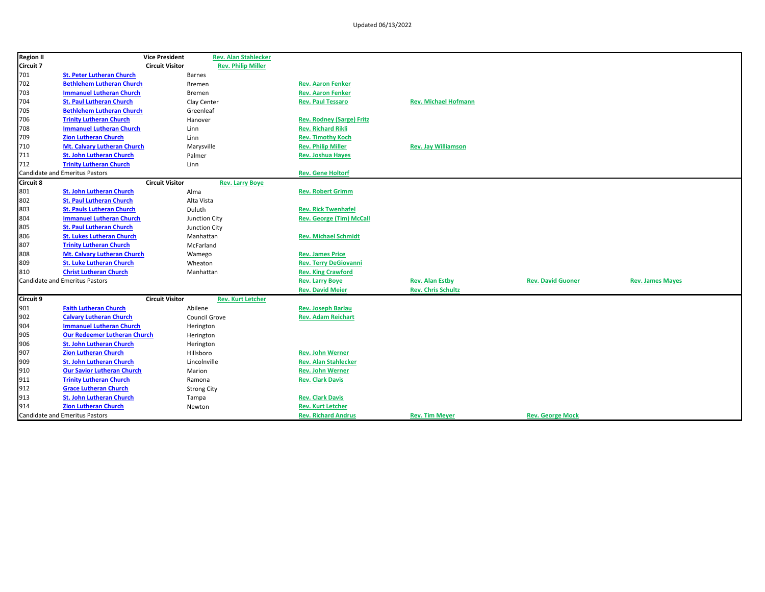| <b>Region II</b> |                                       | <b>Vice President</b>  |                    | <b>Rev. Alan Stahlecker</b> |                                  |                             |                          |                         |
|------------------|---------------------------------------|------------------------|--------------------|-----------------------------|----------------------------------|-----------------------------|--------------------------|-------------------------|
| Circuit 7        |                                       | <b>Circuit Visitor</b> |                    | <b>Rev. Philip Miller</b>   |                                  |                             |                          |                         |
| 701              | <b>St. Peter Lutheran Church</b>      |                        | Barnes             |                             |                                  |                             |                          |                         |
| 702              | <b>Bethlehem Lutheran Church</b>      |                        | <b>Bremen</b>      |                             | <b>Rev. Aaron Fenker</b>         |                             |                          |                         |
| 703              | <b>Immanuel Lutheran Church</b>       |                        | Bremen             |                             | <b>Rev. Aaron Fenker</b>         |                             |                          |                         |
| 704              | <b>St. Paul Lutheran Church</b>       |                        | Clay Center        |                             | <b>Rev. Paul Tessaro</b>         | <b>Rev. Michael Hofmann</b> |                          |                         |
| 705              | <b>Bethlehem Lutheran Church</b>      |                        | Greenleaf          |                             |                                  |                             |                          |                         |
| 706              | <b>Trinity Lutheran Church</b>        |                        | Hanover            |                             | <b>Rev. Rodney (Sarge) Fritz</b> |                             |                          |                         |
| 708              | <b>Immanuel Lutheran Church</b>       |                        | Linn               |                             | <b>Rev. Richard Rikli</b>        |                             |                          |                         |
| 709              | <b>Zion Lutheran Church</b>           |                        | Linn               |                             | <b>Rev. Timothy Koch</b>         |                             |                          |                         |
| 710              | Mt. Calvary Lutheran Church           |                        | Marysville         |                             | <b>Rev. Philip Miller</b>        | <b>Rev. Jay Williamson</b>  |                          |                         |
| 711              | <b>St. John Lutheran Church</b>       |                        | Palmer             |                             | <b>Rev. Joshua Hayes</b>         |                             |                          |                         |
| 712              | <b>Trinity Lutheran Church</b>        |                        | Linn               |                             |                                  |                             |                          |                         |
|                  | Candidate and Emeritus Pastors        |                        |                    |                             | <b>Rev. Gene Holtorf</b>         |                             |                          |                         |
| <b>Circuit 8</b> |                                       | <b>Circuit Visitor</b> |                    | <b>Rev. Larry Boye</b>      |                                  |                             |                          |                         |
| 801              | <b>St. John Lutheran Church</b>       |                        | Alma               |                             | <b>Rev. Robert Grimm</b>         |                             |                          |                         |
| 802              | <b>St. Paul Lutheran Church</b>       |                        | Alta Vista         |                             |                                  |                             |                          |                         |
| 803              | <b>St. Pauls Lutheran Church</b>      |                        | Duluth             |                             | <b>Rev. Rick Twenhafel</b>       |                             |                          |                         |
| 804              | <b>Immanuel Lutheran Church</b>       |                        | Junction City      |                             | <b>Rev. George (Tim) McCall</b>  |                             |                          |                         |
| 805              | <b>St. Paul Lutheran Church</b>       |                        | Junction City      |                             |                                  |                             |                          |                         |
| 806              | <b>St. Lukes Lutheran Church</b>      |                        | Manhattan          |                             | <b>Rev. Michael Schmidt</b>      |                             |                          |                         |
| 807              | <b>Trinity Lutheran Church</b>        |                        | McFarland          |                             |                                  |                             |                          |                         |
| 808              | Mt. Calvary Lutheran Church           |                        | Wamego             |                             | <b>Rev. James Price</b>          |                             |                          |                         |
| 809              | <b>St. Luke Lutheran Church</b>       |                        | Wheaton            |                             | <b>Rev. Terry DeGiovanni</b>     |                             |                          |                         |
| 810              | <b>Christ Lutheran Church</b>         |                        | Manhattan          |                             | <b>Rev. King Crawford</b>        |                             |                          |                         |
|                  | <b>Candidate and Emeritus Pastors</b> |                        |                    |                             | <b>Rev. Larry Boye</b>           | <b>Rev. Alan Estby</b>      | <b>Rev. David Guoner</b> | <b>Rev. James Mayes</b> |
|                  |                                       |                        |                    |                             | <b>Rev. David Meier</b>          | <b>Rev. Chris Schultz</b>   |                          |                         |
| <b>Circuit 9</b> |                                       | <b>Circuit Visitor</b> |                    | <b>Rev. Kurt Letcher</b>    |                                  |                             |                          |                         |
| 901              | <b>Faith Lutheran Church</b>          |                        | Abilene            |                             | <b>Rev. Joseph Barlau</b>        |                             |                          |                         |
| 902              | <b>Calvary Lutheran Church</b>        |                        | Council Grove      |                             | <b>Rev. Adam Reichart</b>        |                             |                          |                         |
| 904              | <b>Immanuel Lutheran Church</b>       |                        | Herington          |                             |                                  |                             |                          |                         |
| 905              | <b>Our Redeemer Lutheran Church</b>   |                        | Herington          |                             |                                  |                             |                          |                         |
| 906              | <b>St. John Lutheran Church</b>       |                        | Herington          |                             |                                  |                             |                          |                         |
| 907              | <b>Zion Lutheran Church</b>           |                        | Hillsboro          |                             | <b>Rev. John Werner</b>          |                             |                          |                         |
| 909              | <b>St. John Lutheran Church</b>       |                        | Lincolnville       |                             | <b>Rev. Alan Stahlecker</b>      |                             |                          |                         |
| 910              | <b>Our Savior Lutheran Church</b>     |                        | Marion             |                             | <b>Rev. John Werner</b>          |                             |                          |                         |
| 911              | <b>Trinity Lutheran Church</b>        |                        | Ramona             |                             | <b>Rev. Clark Davis</b>          |                             |                          |                         |
| 912              | <b>Grace Lutheran Church</b>          |                        | <b>Strong City</b> |                             |                                  |                             |                          |                         |
| 913              | <b>St. John Lutheran Church</b>       |                        | Tampa              |                             | <b>Rev. Clark Davis</b>          |                             |                          |                         |
| 914              | <b>Zion Lutheran Church</b>           |                        | Newton             |                             | <b>Rev. Kurt Letcher</b>         |                             |                          |                         |
|                  | Candidate and Emeritus Pastors        |                        |                    |                             | <b>Rev. Richard Andrus</b>       | <b>Rev. Tim Meyer</b>       | <b>Rev. George Mock</b>  |                         |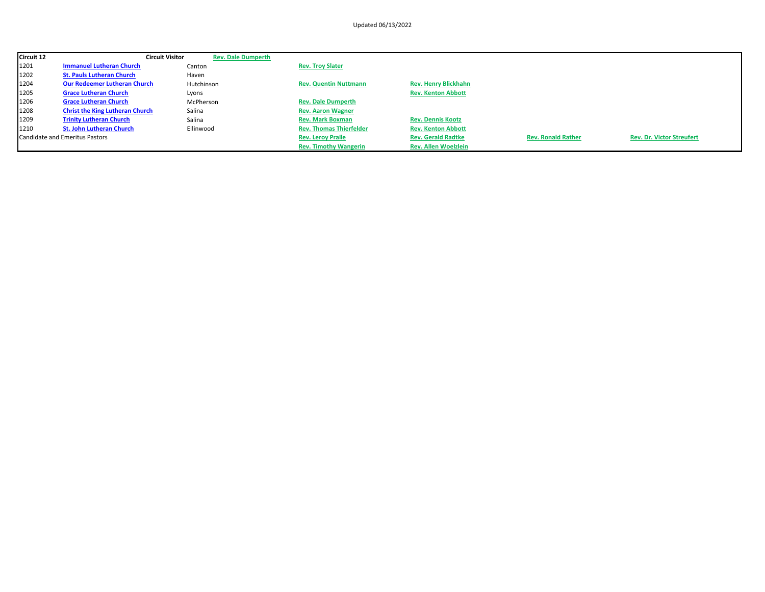| Circuit 12 | <b>Circuit Visitor</b>                 | <b>Rev. Dale Dumperth</b> |                                |                             |                           |                                  |
|------------|----------------------------------------|---------------------------|--------------------------------|-----------------------------|---------------------------|----------------------------------|
| 1201       | <b>Immanuel Lutheran Church</b>        | Canton                    | <b>Rev. Troy Slater</b>        |                             |                           |                                  |
| 1202       | <b>St. Pauls Lutheran Church</b>       | Haven                     |                                |                             |                           |                                  |
| 1204       | <b>Our Redeemer Lutheran Church</b>    | Hutchinson                | <b>Rev. Quentin Nuttmann</b>   | <b>Rev. Henry Blickhahn</b> |                           |                                  |
| 1205       | <b>Grace Lutheran Church</b>           | Lyons                     |                                | <b>Rev. Kenton Abbott</b>   |                           |                                  |
| 1206       | <b>Grace Lutheran Church</b>           | McPherson                 | <b>Rev. Dale Dumperth</b>      |                             |                           |                                  |
| 1208       | <b>Christ the King Lutheran Church</b> | Salina                    | <b>Rev. Aaron Wagner</b>       |                             |                           |                                  |
| 1209       | <b>Trinity Lutheran Church</b>         | Salina                    | <b>Rev. Mark Boxman</b>        | <b>Rev. Dennis Kootz</b>    |                           |                                  |
| 1210       | <b>St. John Lutheran Church</b>        | Ellinwood                 | <b>Rev. Thomas Thierfelder</b> | <b>Rev. Kenton Abbott</b>   |                           |                                  |
|            | Candidate and Emeritus Pastors         |                           | <b>Rev. Leroy Pralle</b>       | <b>Rev. Gerald Radtke</b>   | <b>Rev. Ronald Rather</b> | <b>Rev. Dr. Victor Streufert</b> |
|            |                                        |                           | <b>Rev. Timothy Wangerin</b>   | <b>Rev. Allen Woelzlein</b> |                           |                                  |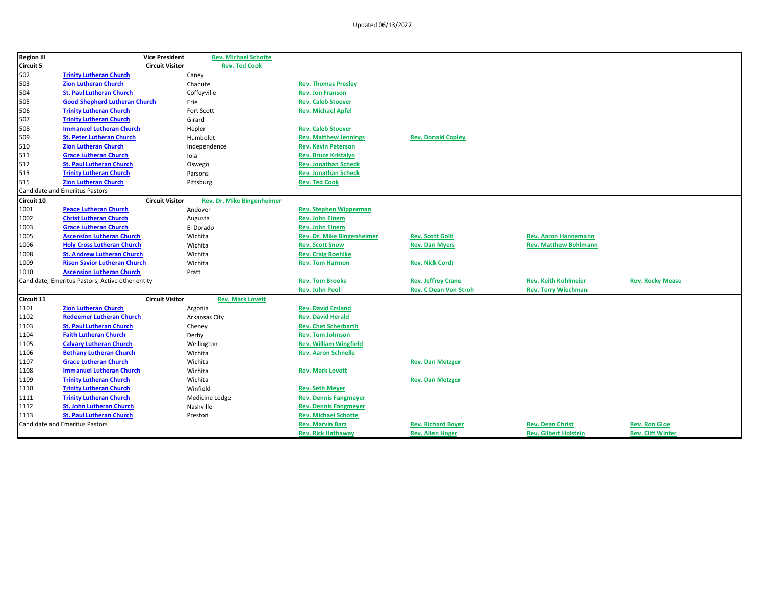| <b>Region III</b> |                                                  | <b>Vice President</b>  | <b>Rev. Michael Schotte</b>       |                               |                              |                              |                          |
|-------------------|--------------------------------------------------|------------------------|-----------------------------------|-------------------------------|------------------------------|------------------------------|--------------------------|
| <b>Circuit 5</b>  |                                                  | <b>Circuit Visitor</b> | <b>Rev. Ted Cook</b>              |                               |                              |                              |                          |
| 502               | <b>Trinity Lutheran Church</b>                   | Caney                  |                                   |                               |                              |                              |                          |
| 503               | <b>Zion Lutheran Church</b>                      | Chanute                |                                   | <b>Rev. Thomas Presley</b>    |                              |                              |                          |
| 504               | <b>St. Paul Lutheran Church</b>                  | Coffeyville            |                                   | <b>Rev. Jon Franson</b>       |                              |                              |                          |
| 505               | <b>Good Shepherd Lutheran Church</b>             | Erie                   |                                   | <b>Rev. Caleb Stoever</b>     |                              |                              |                          |
| 506               | <b>Trinity Lutheran Church</b>                   | Fort Scott             |                                   | <b>Rev. Michael Apfel</b>     |                              |                              |                          |
| 507               | <b>Trinity Lutheran Church</b>                   | Girard                 |                                   |                               |                              |                              |                          |
| 508               | <b>Immanuel Lutheran Church</b>                  | Hepler                 |                                   | <b>Rev. Caleb Stoever</b>     |                              |                              |                          |
| 509               | <b>St. Peter Lutheran Church</b>                 | Humboldt               |                                   | <b>Rev. Matthew Jennings</b>  | <b>Rev. Donald Copley</b>    |                              |                          |
| 510               | <b>Zion Lutheran Church</b>                      | Independence           |                                   | <b>Rev. Kevin Peterson</b>    |                              |                              |                          |
| 511               | <b>Grace Lutheran Church</b>                     | Iola                   |                                   | <b>Rev. Bruce Kristalyn</b>   |                              |                              |                          |
| 512               | <b>St. Paul Lutheran Church</b>                  | Oswego                 |                                   | <b>Rev. Jonathan Scheck</b>   |                              |                              |                          |
| 513               | <b>Trinity Lutheran Church</b>                   | Parsons                |                                   | <b>Rev. Jonathan Scheck</b>   |                              |                              |                          |
| 515               | <b>Zion Lutheran Church</b>                      | Pittsburg              |                                   | <b>Rev. Ted Cook</b>          |                              |                              |                          |
|                   | <b>Candidate and Emeritus Pastors</b>            |                        |                                   |                               |                              |                              |                          |
| Circuit 10        |                                                  | <b>Circuit Visitor</b> | <b>Rev. Dr. Mike Bingenheimer</b> |                               |                              |                              |                          |
| 1001              | <b>Peace Lutheran Church</b>                     | Andover                |                                   | <b>Rev. Stephen Wipperman</b> |                              |                              |                          |
| 1002              | <b>Christ Lutheran Church</b>                    | Augusta                |                                   | <b>Rev. John Einem</b>        |                              |                              |                          |
| 1003              | <b>Grace Lutheran Church</b>                     | El Dorado              |                                   | <b>Rev. John Einem</b>        |                              |                              |                          |
| 1005              | <b>Ascension Lutheran Church</b>                 | Wichita                |                                   | Rev. Dr. Mike Bingenheimer    | <b>Rev. Scott Goltl</b>      | <b>Rev. Aaron Hannemann</b>  |                          |
| 1006              | <b>Holy Cross Lutheran Church</b>                | Wichita                |                                   | <b>Rev. Scott Snow</b>        | <b>Rev. Dan Myers</b>        | <b>Rev. Matthew Bohlmann</b> |                          |
| 1008              | <b>St. Andrew Lutheran Church</b>                | Wichita                |                                   | <b>Rev. Craig Boehlke</b>     |                              |                              |                          |
| 1009              | <b>Risen Savior Lutheran Church</b>              | Wichita                |                                   | <b>Rev. Tom Harmon</b>        | <b>Rev. Nick Cordt</b>       |                              |                          |
| 1010              | <b>Ascension Lutheran Church</b>                 | Pratt                  |                                   |                               |                              |                              |                          |
|                   | Candidate, Emeritus Pastors, Active other entity |                        |                                   | <b>Rev. Tom Brooks</b>        | <b>Rev. Jeffrey Crane</b>    | <b>Rev. Keith Kohlmeier</b>  | <b>Rev. Rocky Mease</b>  |
|                   |                                                  |                        |                                   | <b>Rev. John Pool</b>         | <b>Rev. C Dean Von Stroh</b> | <b>Rev. Terry Wiechman</b>   |                          |
| Circuit 11        |                                                  | <b>Circuit Visitor</b> | <b>Rev. Mark Lovett</b>           |                               |                              |                              |                          |
| 1101              | <b>Zion Lutheran Church</b>                      | Argonia                |                                   | <b>Rev. David Ersland</b>     |                              |                              |                          |
| 1102              | <b>Redeemer Lutheran Church</b>                  | Arkansas City          |                                   | <b>Rev. David Herald</b>      |                              |                              |                          |
| 1103              | <b>St. Paul Lutheran Church</b>                  | Cheney                 |                                   | <b>Rev. Chet Scherbarth</b>   |                              |                              |                          |
| 1104              | <b>Faith Lutheran Church</b>                     | Derby                  |                                   | <b>Rev. Tom Johnson</b>       |                              |                              |                          |
| 1105              | <b>Calvary Lutheran Church</b>                   | Wellington             |                                   | <b>Rev. William Wingfield</b> |                              |                              |                          |
| 1106              | <b>Bethany Lutheran Church</b>                   | Wichita                |                                   | <b>Rev. Aaron Schnelle</b>    |                              |                              |                          |
| 1107              | <b>Grace Lutheran Church</b>                     | Wichita                |                                   |                               | <b>Rev. Dan Metzger</b>      |                              |                          |
| 1108              | <b>Immanuel Lutheran Church</b>                  | Wichita                |                                   | <b>Rev. Mark Lovett</b>       |                              |                              |                          |
| 1109              | <b>Trinity Lutheran Church</b>                   | Wichita                |                                   |                               | <b>Rev. Dan Metzger</b>      |                              |                          |
| 1110              | <b>Trinity Lutheran Church</b>                   | Winfield               |                                   | <b>Rev. Seth Meyer</b>        |                              |                              |                          |
| 1111              | <b>Trinity Lutheran Church</b>                   |                        | Medicine Lodge                    | <b>Rev. Dennis Fangmeyer</b>  |                              |                              |                          |
| 1112              | <b>St. John Lutheran Church</b>                  | Nashville              |                                   | <b>Rev. Dennis Fangmeyer</b>  |                              |                              |                          |
| 1113              | <b>St. Paul Lutheran Church</b>                  | Preston                |                                   | <b>Rev. Michael Schotte</b>   |                              |                              |                          |
|                   | <b>Candidate and Emeritus Pastors</b>            |                        |                                   | <b>Rev. Marvin Barz</b>       | <b>Rev. Richard Boyer</b>    | <b>Rev. Dean Christ</b>      | <b>Rev. Ron Gloe</b>     |
|                   |                                                  |                        |                                   | <b>Rev. Rick Hathaway</b>     | <b>Rev. Allen Hoger</b>      | <b>Rev. Gilbert Holstein</b> | <b>Rev. Cliff Winter</b> |